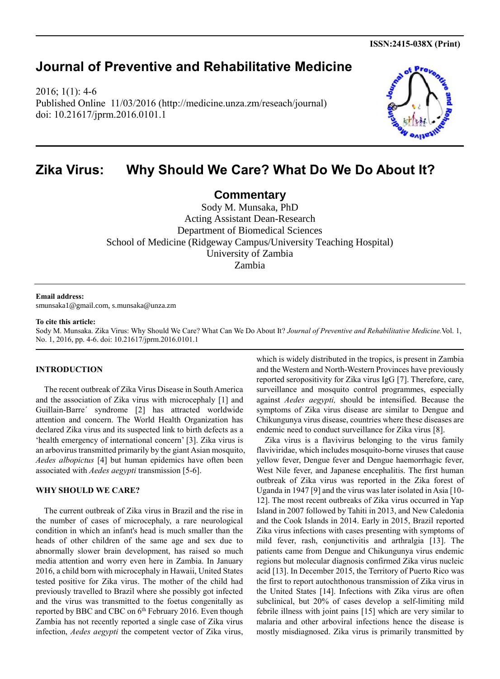**ISSN:2415-038X (Print)**

## **Journal of Preventive and Rehabilitative Medicine**

2016; 1(1): 4-6 Published Online 11/03/2016 (http://medicine.unza.zm/reseach/journal) doi: 10.21617/jprm.2016.0101.1



# **Zika Virus: Why Should We Care? What Do We Do About It?**

**Commentary**

Sody M. Munsaka, PhD Acting Assistant Dean-Research Department of Biomedical Sciences School of Medicine (Ridgeway Campus/University Teaching Hospital) University of Zambia Zambia

### **Email address:**

smunsaka1@gmail.com[, s.munsaka@unza.zm](mailto:s.munsaka@unza.zm)

### **To cite this article:**

Sody M. Munsaka. Zika Virus: Why Should We Care? What Can We Do About It? *Journal of Preventive and Rehabilitative Medicine.*Vol. 1, No. 1, 2016, pp. 4-6. doi: 10.21617/jprm.2016.0101.1

## **INTRODUCTION**

The recent outbreak of Zika Virus Disease in South America and the association of Zika virus with microcephaly [1] and Guillain-Barre´ syndrome [2] has attracted worldwide attention and concern. The World Health Organization has declared Zika virus and its suspected link to birth defects as a 'health emergency of international concern' [3]. Zika virus is an arbovirus transmitted primarily by the giant Asian mosquito, *Aedes albopictus* [4] but human epidemics have often been associated with *Aedes aegypti* transmission [5-6].

## **WHY SHOULD WE CARE?**

The current outbreak of Zika virus in Brazil and the rise in the number of cases of microcephaly, a rare neurological condition in which an infant's head is much smaller than the heads of other children of the same age and sex due to abnormally slower brain development, has raised so much media attention and worry even here in Zambia. In January 2016, a child born with microcephaly in Hawaii, United States tested positive for Zika virus. The mother of the child had previously travelled to Brazil where she possibly got infected and the virus was transmitted to the foetus congenitally as reported by BBC and CBC on 6<sup>th</sup> February 2016. Even though Zambia has not recently reported a single case of Zika virus infection, *Aedes aegypti* the competent vector of Zika virus,

which is widely distributed in the tropics, is present in Zambia and the Western and North-Western Provinces have previously reported seropositivity for Zika virus IgG [7]. Therefore, care, surveillance and mosquito control programmes, especially against *Aedes aegypti,* should be intensified. Because the symptoms of Zika virus disease are similar to Dengue and Chikungunya virus disease, countries where these diseases are endemic need to conduct surveillance for Zika virus [8].

Zika virus is a flavivirus belonging to the virus family flaviviridae, which includes mosquito-borne viruses that cause yellow fever, Dengue fever and Dengue haemorrhagic fever, West Nile fever, and Japanese encephalitis. The first human outbreak of Zika virus was reported in the Zika forest of Uganda in 1947 [9] and the virus was later isolated in Asia [10- 12]. The most recent outbreaks of Zika virus occurred in Yap Island in 2007 followed by Tahiti in 2013, and New Caledonia and the Cook Islands in 2014. Early in 2015, Brazil reported Zika virus infections with cases presenting with symptoms of mild fever, rash, conjunctivitis and arthralgia [13]. The patients came from Dengue and Chikungunya virus endemic regions but molecular diagnosis confirmed Zika virus nucleic acid [13]. In December 2015, the Territory of Puerto Rico was the first to report autochthonous transmission of Zika virus in the United States [14]. Infections with Zika virus are often subclinical, but 20% of cases develop a self-limiting mild febrile illness with joint pains [15] which are very similar to malaria and other arboviral infections hence the disease is mostly misdiagnosed. Zika virus is primarily transmitted by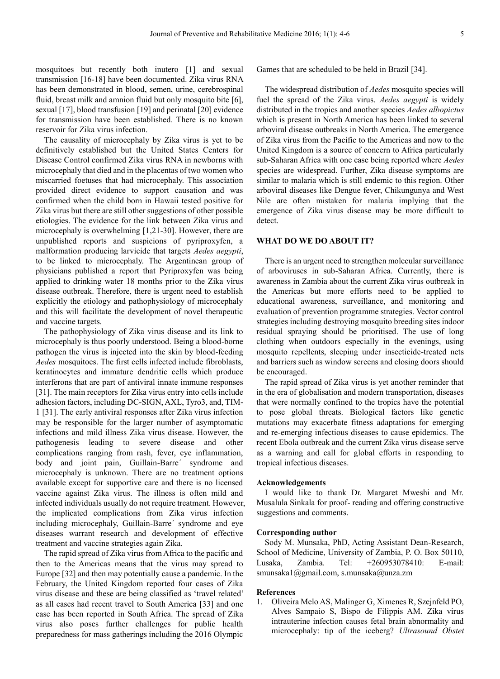mosquitoes but recently both inutero [1] and sexual transmission [16-18] have been documented. Zika virus RNA has been demonstrated in blood, semen, urine, cerebrospinal fluid, breast milk and amnion fluid but only mosquito bite [6], sexual [17], blood transfusion [19] and perinatal [20] evidence for transmission have been established. There is no known reservoir for Zika virus infection.

The causality of microcephaly by Zika virus is yet to be definitively established but the United States Centers for Disease Control confirmed Zika virus RNA in newborns with microcephaly that died and in the placentas of two women who miscarried foetuses that had microcephaly. This association provided direct evidence to support causation and was confirmed when the child born in Hawaii tested positive for Zika virus but there are still other suggestions of other possible etiologies. The evidence for the link between Zika virus and microcephaly is overwhelming [1,21-30]. However, there are unpublished reports and suspicions of pyriproxyfen, a malformation producing larvicide that targets *Aedes aegypti*, to be linked to microcephaly. The Argentinean group of physicians published a report that Pyriproxyfen was being applied to drinking water 18 months prior to the Zika virus disease outbreak. Therefore, there is urgent need to establish explicitly the etiology and pathophysiology of microcephaly and this will facilitate the development of novel therapeutic and vaccine targets.

The pathophysiology of Zika virus disease and its link to microcephaly is thus poorly understood. Being a blood-borne pathogen the virus is injected into the skin by blood-feeding *Aedes* mosquitoes. The first cells infected include fibroblasts, keratinocytes and immature dendritic cells which produce interferons that are part of antiviral innate immune responses [31]. The main receptors for Zika virus entry into cells include adhesion factors, including DC-SIGN, AXL, Tyro3, and, TIM-1 [31]. The early antiviral responses after Zika virus infection may be responsible for the larger number of asymptomatic infections and mild illness Zika virus disease. However, the pathogenesis leading to severe disease and other complications ranging from rash, fever, eye inflammation, body and joint pain, Guillain-Barre´ syndrome and microcephaly is unknown. There are no treatment options available except for supportive care and there is no licensed vaccine against Zika virus. The illness is often mild and infected individuals usually do not require treatment. However, the implicated complications from Zika virus infection including microcephaly, Guillain-Barre´ syndrome and eye diseases warrant research and development of effective treatment and vaccine strategies again Zika.

The rapid spread of Zika virus from Africa to the pacific and then to the Americas means that the virus may spread to Europe [32] and then may potentially cause a pandemic. In the February, the United Kingdom reported four cases of Zika virus disease and these are being classified as 'travel related' as all cases had recent travel to South America [33] and one case has been reported in South Africa. The spread of Zika virus also poses further challenges for public health preparedness for mass gatherings including the 2016 Olympic

Games that are scheduled to be held in Brazil [34].

The widespread distribution of *Aedes* mosquito species will fuel the spread of the Zika virus. *Aedes aegypti* is widely distributed in the tropics and another species *Aedes albopictus* which is present in North America has been linked to several arboviral disease outbreaks in North America. The emergence of Zika virus from the Pacific to the Americas and now to the United Kingdom is a source of concern to Africa particularly sub-Saharan Africa with one case being reported where *Aedes* species are widespread. Further, Zika disease symptoms are similar to malaria which is still endemic to this region. Other arboviral diseases like Dengue fever, Chikungunya and West Nile are often mistaken for malaria implying that the emergence of Zika virus disease may be more difficult to detect.

### **WHAT DO WE DO ABOUT IT?**

There is an urgent need to strengthen molecular surveillance of arboviruses in sub-Saharan Africa. Currently, there is awareness in Zambia about the current Zika virus outbreak in the Americas but more efforts need to be applied to educational awareness, surveillance, and monitoring and evaluation of prevention programme strategies. Vector control strategies including destroying mosquito breeding sites indoor residual spraying should be prioritised. The use of long clothing when outdoors especially in the evenings, using mosquito repellents, sleeping under insecticide-treated nets and barriers such as window screens and closing doors should be encouraged.

The rapid spread of Zika virus is yet another reminder that in the era of globalisation and modern transportation, diseases that were normally confined to the tropics have the potential to pose global threats. Biological factors like genetic mutations may exacerbate fitness adaptations for emerging and re-emerging infectious diseases to cause epidemics. The recent Ebola outbreak and the current Zika virus disease serve as a warning and call for global efforts in responding to tropical infectious diseases.

## **Acknowledgements**

I would like to thank Dr. Margaret Mweshi and Mr. Musalula Sinkala for proof- reading and offering constructive suggestions and comments.

### **Corresponding author**

Sody M. Munsaka, PhD, Acting Assistant Dean-Research, School of Medicine, University of Zambia, P. O. Box 50110, Lusaka, Zambia. Tel: +260953078410: E-mail: smunsaka1@gmail.com, [s.munsaka@unza.zm](mailto:s.munsaka@unza.zm)

#### **References**

1. Oliveira Melo AS, Malinger G, Ximenes R, Szejnfeld PO, Alves Sampaio S, Bispo de Filippis AM. Zika virus intrauterine infection causes fetal brain abnormality and microcephaly: tip of the iceberg? *Ultrasound Obstet*